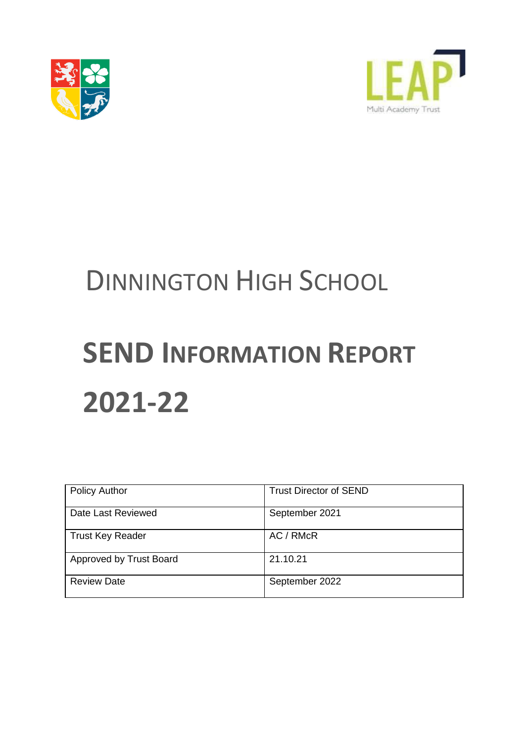



# DINNINGTON HIGH SCHOOL

# **SEND INFORMATION REPORT 2021-22**

| <b>Policy Author</b>    | <b>Trust Director of SEND</b> |
|-------------------------|-------------------------------|
| Date Last Reviewed      | September 2021                |
| <b>Trust Key Reader</b> | AC / RMcR                     |
| Approved by Trust Board | 21.10.21                      |
| <b>Review Date</b>      | September 2022                |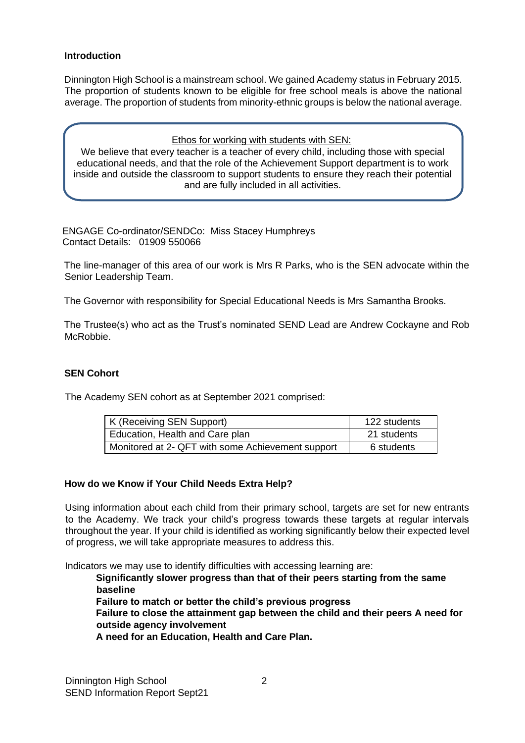# **Introduction**

Dinnington High School is a mainstream school. We gained Academy status in February 2015. The proportion of students known to be eligible for free school meals is above the national average. The proportion of students from minority-ethnic groups is below the national average.

#### Ethos for working with students with SEN:

We believe that every teacher is a teacher of every child, including those with special educational needs, and that the role of the Achievement Support department is to work inside and outside the classroom to support students to ensure they reach their potential and are fully included in all activities.

ENGAGE Co-ordinator/SENDCo: Miss Stacey Humphreys Contact Details: 01909 550066

The line-manager of this area of our work is Mrs R Parks, who is the SEN advocate within the Senior Leadership Team.

The Governor with responsibility for Special Educational Needs is Mrs Samantha Brooks.

The Trustee(s) who act as the Trust's nominated SEND Lead are Andrew Cockayne and Rob McRobbie.

#### **SEN Cohort**

The Academy SEN cohort as at September 2021 comprised:

| K (Receiving SEN Support)                         | 122 students |
|---------------------------------------------------|--------------|
| Education, Health and Care plan                   | 21 students  |
| Monitored at 2- QFT with some Achievement support | 6 students   |

#### **How do we Know if Your Child Needs Extra Help?**

Using information about each child from their primary school, targets are set for new entrants to the Academy. We track your child's progress towards these targets at regular intervals throughout the year. If your child is identified as working significantly below their expected level of progress, we will take appropriate measures to address this.

Indicators we may use to identify difficulties with accessing learning are:

**Significantly slower progress than that of their peers starting from the same baseline Failure to match or better the child's previous progress Failure to close the attainment gap between the child and their peers A need for outside agency involvement A need for an Education, Health and Care Plan.**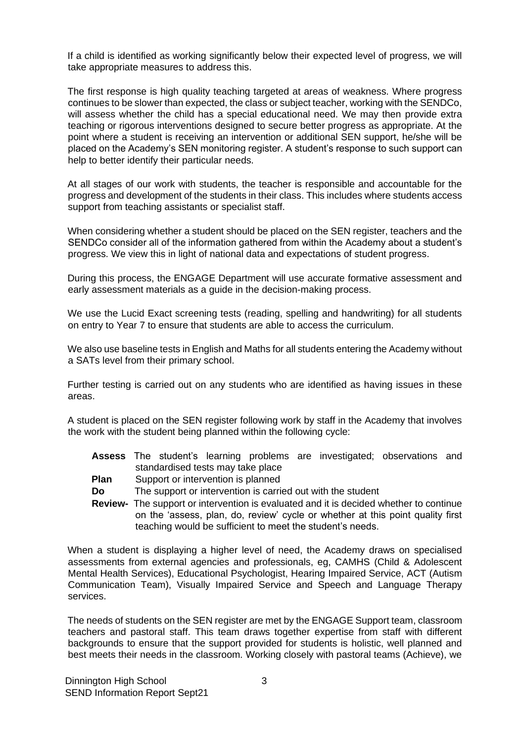If a child is identified as working significantly below their expected level of progress, we will take appropriate measures to address this.

The first response is high quality teaching targeted at areas of weakness. Where progress continues to be slower than expected, the class or subject teacher, working with the SENDCo, will assess whether the child has a special educational need. We may then provide extra teaching or rigorous interventions designed to secure better progress as appropriate. At the point where a student is receiving an intervention or additional SEN support, he/she will be placed on the Academy's SEN monitoring register. A student's response to such support can help to better identify their particular needs.

At all stages of our work with students, the teacher is responsible and accountable for the progress and development of the students in their class. This includes where students access support from teaching assistants or specialist staff.

When considering whether a student should be placed on the SEN register, teachers and the SENDCo consider all of the information gathered from within the Academy about a student's progress. We view this in light of national data and expectations of student progress.

During this process, the ENGAGE Department will use accurate formative assessment and early assessment materials as a guide in the decision-making process.

We use the Lucid Exact screening tests (reading, spelling and handwriting) for all students on entry to Year 7 to ensure that students are able to access the curriculum.

We also use baseline tests in English and Maths for all students entering the Academy without a SATs level from their primary school.

Further testing is carried out on any students who are identified as having issues in these areas.

A student is placed on the SEN register following work by staff in the Academy that involves the work with the student being planned within the following cycle:

- **Assess** The student's learning problems are investigated; observations and standardised tests may take place
- **Plan** Support or intervention is planned
- **Do** The support or intervention is carried out with the student
- **Review-** The support or intervention is evaluated and it is decided whether to continue on the 'assess, plan, do, review' cycle or whether at this point quality first teaching would be sufficient to meet the student's needs.

When a student is displaying a higher level of need, the Academy draws on specialised assessments from external agencies and professionals, eg, CAMHS (Child & Adolescent Mental Health Services), Educational Psychologist, Hearing Impaired Service, ACT (Autism Communication Team), Visually Impaired Service and Speech and Language Therapy services.

The needs of students on the SEN register are met by the ENGAGE Support team, classroom teachers and pastoral staff. This team draws together expertise from staff with different backgrounds to ensure that the support provided for students is holistic, well planned and best meets their needs in the classroom. Working closely with pastoral teams (Achieve), we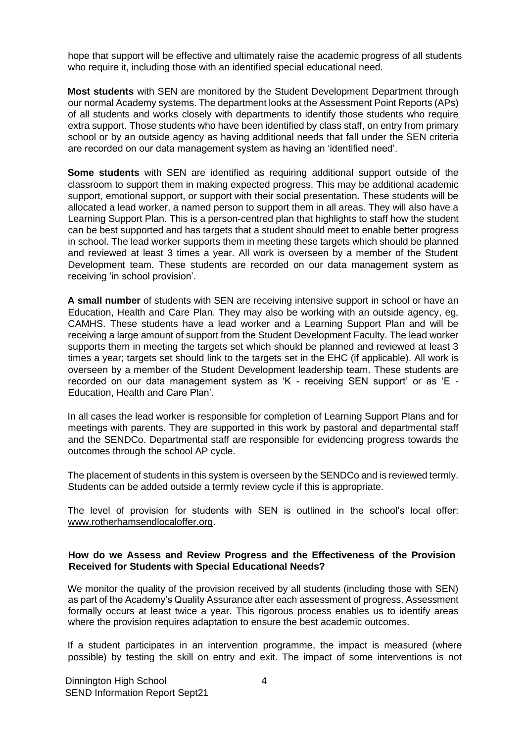hope that support will be effective and ultimately raise the academic progress of all students who require it, including those with an identified special educational need.

**Most students** with SEN are monitored by the Student Development Department through our normal Academy systems. The department looks at the Assessment Point Reports (APs) of all students and works closely with departments to identify those students who require extra support. Those students who have been identified by class staff, on entry from primary school or by an outside agency as having additional needs that fall under the SEN criteria are recorded on our data management system as having an 'identified need'.

**Some students** with SEN are identified as requiring additional support outside of the classroom to support them in making expected progress. This may be additional academic support, emotional support, or support with their social presentation. These students will be allocated a lead worker, a named person to support them in all areas. They will also have a Learning Support Plan. This is a person-centred plan that highlights to staff how the student can be best supported and has targets that a student should meet to enable better progress in school. The lead worker supports them in meeting these targets which should be planned and reviewed at least 3 times a year. All work is overseen by a member of the Student Development team. These students are recorded on our data management system as receiving 'in school provision'.

**A small number** of students with SEN are receiving intensive support in school or have an Education, Health and Care Plan. They may also be working with an outside agency, eg, CAMHS. These students have a lead worker and a Learning Support Plan and will be receiving a large amount of support from the Student Development Faculty. The lead worker supports them in meeting the targets set which should be planned and reviewed at least 3 times a year; targets set should link to the targets set in the EHC (if applicable). All work is overseen by a member of the Student Development leadership team. These students are recorded on our data management system as 'K - receiving SEN support' or as 'E - Education, Health and Care Plan'.

In all cases the lead worker is responsible for completion of Learning Support Plans and for meetings with parents. They are supported in this work by pastoral and departmental staff and the SENDCo. Departmental staff are responsible for evidencing progress towards the outcomes through the school AP cycle.

The placement of students in this system is overseen by the SENDCo and is reviewed termly. Students can be added outside a termly review cycle if this is appropriate.

The level of provision for students with SEN is outlined in the school's local offer: [www.rotherhamsendlocaloffer.org.](http://www.rotherhamsendlocaloffer.org/) 

#### **How do we Assess and Review Progress and the Effectiveness of the Provision Received for Students with Special Educational Needs?**

We monitor the quality of the provision received by all students (including those with SEN) as part of the Academy's Quality Assurance after each assessment of progress. Assessment formally occurs at least twice a year. This rigorous process enables us to identify areas where the provision requires adaptation to ensure the best academic outcomes.

If a student participates in an intervention programme, the impact is measured (where possible) by testing the skill on entry and exit. The impact of some interventions is not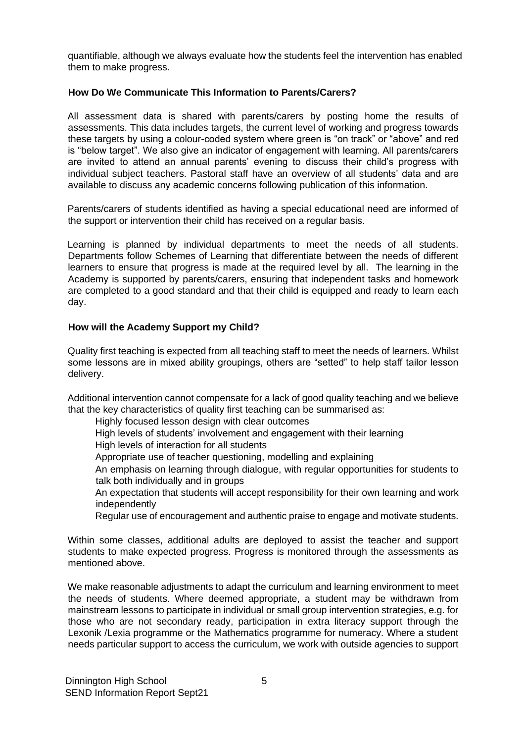quantifiable, although we always evaluate how the students feel the intervention has enabled them to make progress.

#### **How Do We Communicate This Information to Parents/Carers?**

All assessment data is shared with parents/carers by posting home the results of assessments. This data includes targets, the current level of working and progress towards these targets by using a colour-coded system where green is "on track" or "above" and red is "below target". We also give an indicator of engagement with learning. All parents/carers are invited to attend an annual parents' evening to discuss their child's progress with individual subject teachers. Pastoral staff have an overview of all students' data and are available to discuss any academic concerns following publication of this information.

Parents/carers of students identified as having a special educational need are informed of the support or intervention their child has received on a regular basis.

Learning is planned by individual departments to meet the needs of all students. Departments follow Schemes of Learning that differentiate between the needs of different learners to ensure that progress is made at the required level by all. The learning in the Academy is supported by parents/carers, ensuring that independent tasks and homework are completed to a good standard and that their child is equipped and ready to learn each day.

## **How will the Academy Support my Child?**

Quality first teaching is expected from all teaching staff to meet the needs of learners. Whilst some lessons are in mixed ability groupings, others are "setted" to help staff tailor lesson delivery.

Additional intervention cannot compensate for a lack of good quality teaching and we believe that the key characteristics of quality first teaching can be summarised as:

Highly focused lesson design with clear outcomes

High levels of students' involvement and engagement with their learning

High levels of interaction for all students

Appropriate use of teacher questioning, modelling and explaining

An emphasis on learning through dialogue, with regular opportunities for students to talk both individually and in groups

An expectation that students will accept responsibility for their own learning and work independently

Regular use of encouragement and authentic praise to engage and motivate students.

Within some classes, additional adults are deployed to assist the teacher and support students to make expected progress. Progress is monitored through the assessments as mentioned above.

We make reasonable adjustments to adapt the curriculum and learning environment to meet the needs of students. Where deemed appropriate, a student may be withdrawn from mainstream lessons to participate in individual or small group intervention strategies, e.g. for those who are not secondary ready, participation in extra literacy support through the Lexonik /Lexia programme or the Mathematics programme for numeracy. Where a student needs particular support to access the curriculum, we work with outside agencies to support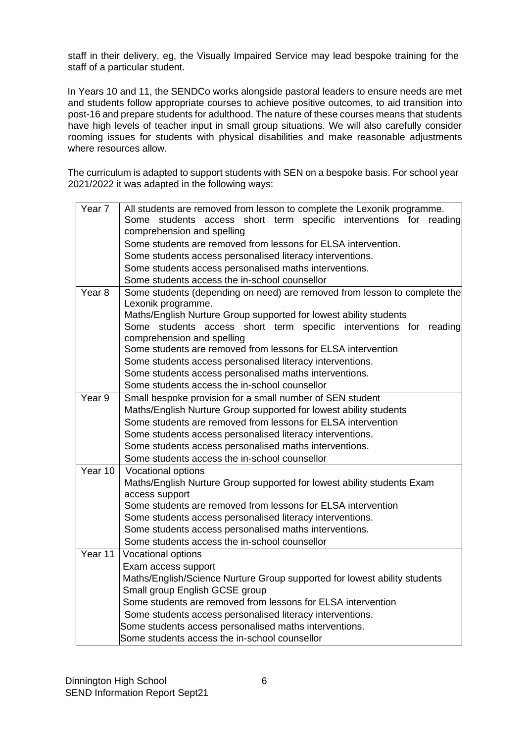staff in their delivery, eg, the Visually Impaired Service may lead bespoke training for the staff of a particular student.

In Years 10 and 11, the SENDCo works alongside pastoral leaders to ensure needs are met and students follow appropriate courses to achieve positive outcomes, to aid transition into post-16 and prepare students for adulthood. The nature of these courses means that students have high levels of teacher input in small group situations. We will also carefully consider rooming issues for students with physical disabilities and make reasonable adjustments where resources allow.

The curriculum is adapted to support students with SEN on a bespoke basis. For school year 2021/2022 it was adapted in the following ways:

| Year <sub>7</sub> | All students are removed from lesson to complete the Lexonik programme.                                                           |  |  |
|-------------------|-----------------------------------------------------------------------------------------------------------------------------------|--|--|
|                   | Some students access short term specific interventions for<br>reading                                                             |  |  |
|                   | comprehension and spelling                                                                                                        |  |  |
|                   | Some students are removed from lessons for ELSA intervention.                                                                     |  |  |
|                   | Some students access personalised literacy interventions.                                                                         |  |  |
|                   | Some students access personalised maths interventions.                                                                            |  |  |
|                   | Some students access the in-school counsellor                                                                                     |  |  |
| Year <sub>8</sub> | Some students (depending on need) are removed from lesson to complete the                                                         |  |  |
|                   | Lexonik programme.                                                                                                                |  |  |
|                   | Maths/English Nurture Group supported for lowest ability students                                                                 |  |  |
|                   | Some students access short term specific interventions for<br>reading                                                             |  |  |
|                   | comprehension and spelling                                                                                                        |  |  |
|                   | Some students are removed from lessons for ELSA intervention                                                                      |  |  |
|                   | Some students access personalised literacy interventions.                                                                         |  |  |
|                   | Some students access personalised maths interventions.<br>Some students access the in-school counsellor                           |  |  |
| Year 9            |                                                                                                                                   |  |  |
|                   | Small bespoke provision for a small number of SEN student                                                                         |  |  |
|                   | Maths/English Nurture Group supported for lowest ability students<br>Some students are removed from lessons for ELSA intervention |  |  |
|                   |                                                                                                                                   |  |  |
|                   | Some students access personalised literacy interventions.<br>Some students access personalised maths interventions.               |  |  |
|                   | Some students access the in-school counsellor                                                                                     |  |  |
| Year 10           |                                                                                                                                   |  |  |
|                   | Vocational options                                                                                                                |  |  |
|                   | Maths/English Nurture Group supported for lowest ability students Exam<br>access support                                          |  |  |
|                   | Some students are removed from lessons for ELSA intervention                                                                      |  |  |
|                   | Some students access personalised literacy interventions.                                                                         |  |  |
|                   | Some students access personalised maths interventions.                                                                            |  |  |
|                   | Some students access the in-school counsellor                                                                                     |  |  |
| Year 11           | Vocational options                                                                                                                |  |  |
|                   | Exam access support                                                                                                               |  |  |
|                   | Maths/English/Science Nurture Group supported for lowest ability students                                                         |  |  |
|                   | Small group English GCSE group                                                                                                    |  |  |
|                   | Some students are removed from lessons for ELSA intervention                                                                      |  |  |
|                   | Some students access personalised literacy interventions.                                                                         |  |  |
|                   | Some students access personalised maths interventions.                                                                            |  |  |
|                   | Some students access the in-school counsellor                                                                                     |  |  |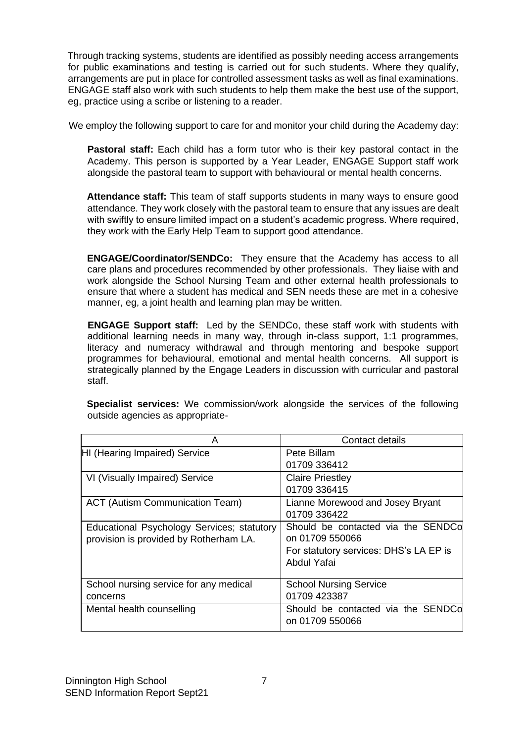Through tracking systems, students are identified as possibly needing access arrangements for public examinations and testing is carried out for such students. Where they qualify, arrangements are put in place for controlled assessment tasks as well as final examinations. ENGAGE staff also work with such students to help them make the best use of the support, eg, practice using a scribe or listening to a reader.

We employ the following support to care for and monitor your child during the Academy day:

**Pastoral staff:** Each child has a form tutor who is their key pastoral contact in the Academy. This person is supported by a Year Leader, ENGAGE Support staff work alongside the pastoral team to support with behavioural or mental health concerns.

 **Attendance staff:** This team of staff supports students in many ways to ensure good attendance. They work closely with the pastoral team to ensure that any issues are dealt with swiftly to ensure limited impact on a student's academic progress. Where required, they work with the Early Help Team to support good attendance.

 **ENGAGE/Coordinator/SENDCo:** They ensure that the Academy has access to all care plans and procedures recommended by other professionals. They liaise with and work alongside the School Nursing Team and other external health professionals to ensure that where a student has medical and SEN needs these are met in a cohesive manner, eg, a joint health and learning plan may be written.

 **ENGAGE Support staff:** Led by the SENDCo, these staff work with students with additional learning needs in many way, through in-class support, 1:1 programmes, literacy and numeracy withdrawal and through mentoring and bespoke support programmes for behavioural, emotional and mental health concerns. All support is strategically planned by the Engage Leaders in discussion with curricular and pastoral staff.

| А                                          | Contact details                        |
|--------------------------------------------|----------------------------------------|
| HI (Hearing Impaired) Service              | Pete Billam                            |
|                                            | 01709 336412                           |
| VI (Visually Impaired) Service             | <b>Claire Priestley</b>                |
|                                            | 01709 336415                           |
| <b>ACT (Autism Communication Team)</b>     | Lianne Morewood and Josey Bryant       |
|                                            | 01709 336422                           |
| Educational Psychology Services; statutory | Should be contacted via the SENDCo     |
| provision is provided by Rotherham LA.     | on 01709 550066                        |
|                                            | For statutory services: DHS's LA EP is |
|                                            | Abdul Yafai                            |
|                                            |                                        |
| School nursing service for any medical     | <b>School Nursing Service</b>          |
| concerns                                   | 01709 423387                           |
| Mental health counselling                  | Should be contacted via the SENDCo     |
|                                            | on 01709 550066                        |
|                                            |                                        |

**Specialist services:** We commission/work alongside the services of the following outside agencies as appropriate-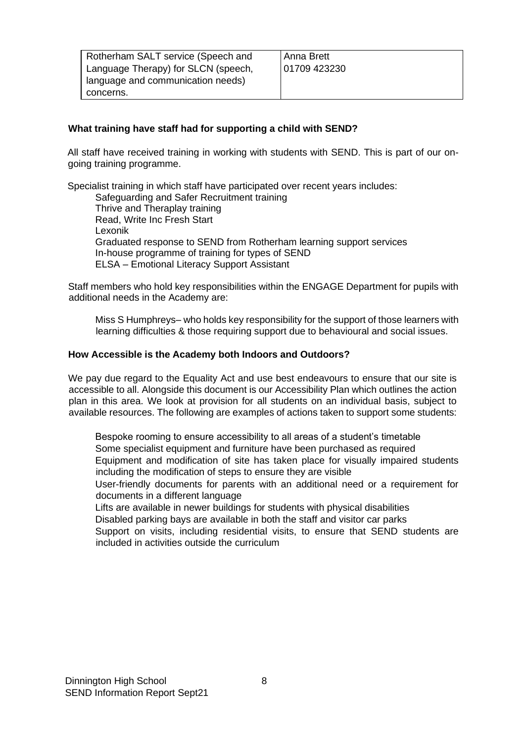| Rotherham SALT service (Speech and  | Anna Brett   |
|-------------------------------------|--------------|
| Language Therapy) for SLCN (speech, | 01709 423230 |
| language and communication needs)   |              |
| concerns.                           |              |

# **What training have staff had for supporting a child with SEND?**

All staff have received training in working with students with SEND. This is part of our ongoing training programme.

Specialist training in which staff have participated over recent years includes: Safeguarding and Safer Recruitment training Thrive and Theraplay training Read, Write Inc Fresh Start Lexonik Graduated response to SEND from Rotherham learning support services In-house programme of training for types of SEND ELSA – Emotional Literacy Support Assistant

Staff members who hold key responsibilities within the ENGAGE Department for pupils with additional needs in the Academy are:

Miss S Humphreys– who holds key responsibility for the support of those learners with learning difficulties & those requiring support due to behavioural and social issues.

#### **How Accessible is the Academy both Indoors and Outdoors?**

We pay due regard to the Equality Act and use best endeavours to ensure that our site is accessible to all. Alongside this document is our Accessibility Plan which outlines the action plan in this area. We look at provision for all students on an individual basis, subject to available resources. The following are examples of actions taken to support some students:

Bespoke rooming to ensure accessibility to all areas of a student's timetable Some specialist equipment and furniture have been purchased as required Equipment and modification of site has taken place for visually impaired students including the modification of steps to ensure they are visible

User-friendly documents for parents with an additional need or a requirement for documents in a different language

Lifts are available in newer buildings for students with physical disabilities

Disabled parking bays are available in both the staff and visitor car parks

Support on visits, including residential visits, to ensure that SEND students are included in activities outside the curriculum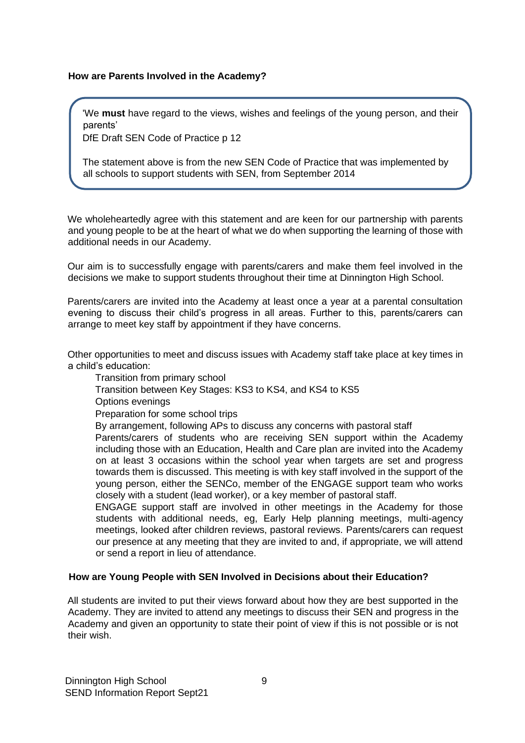#### **How are Parents Involved in the Academy?**

'We **must** have regard to the views, wishes and feelings of the young person, and their parents'

DfE Draft SEN Code of Practice p 12

The statement above is from the new SEN Code of Practice that was implemented by all schools to support students with SEN, from September 2014

We wholeheartedly agree with this statement and are keen for our partnership with parents and young people to be at the heart of what we do when supporting the learning of those with additional needs in our Academy.

Our aim is to successfully engage with parents/carers and make them feel involved in the decisions we make to support students throughout their time at Dinnington High School.

Parents/carers are invited into the Academy at least once a year at a parental consultation evening to discuss their child's progress in all areas. Further to this, parents/carers can arrange to meet key staff by appointment if they have concerns.

Other opportunities to meet and discuss issues with Academy staff take place at key times in a child's education:

- Transition from primary school
- Transition between Key Stages: KS3 to KS4, and KS4 to KS5
- Options evenings

Preparation for some school trips

By arrangement, following APs to discuss any concerns with pastoral staff

Parents/carers of students who are receiving SEN support within the Academy including those with an Education, Health and Care plan are invited into the Academy on at least 3 occasions within the school year when targets are set and progress towards them is discussed. This meeting is with key staff involved in the support of the young person, either the SENCo, member of the ENGAGE support team who works closely with a student (lead worker), or a key member of pastoral staff.

ENGAGE support staff are involved in other meetings in the Academy for those students with additional needs, eg, Early Help planning meetings, multi-agency meetings, looked after children reviews, pastoral reviews. Parents/carers can request our presence at any meeting that they are invited to and, if appropriate, we will attend or send a report in lieu of attendance.

#### **How are Young People with SEN Involved in Decisions about their Education?**

All students are invited to put their views forward about how they are best supported in the Academy. They are invited to attend any meetings to discuss their SEN and progress in the Academy and given an opportunity to state their point of view if this is not possible or is not their wish.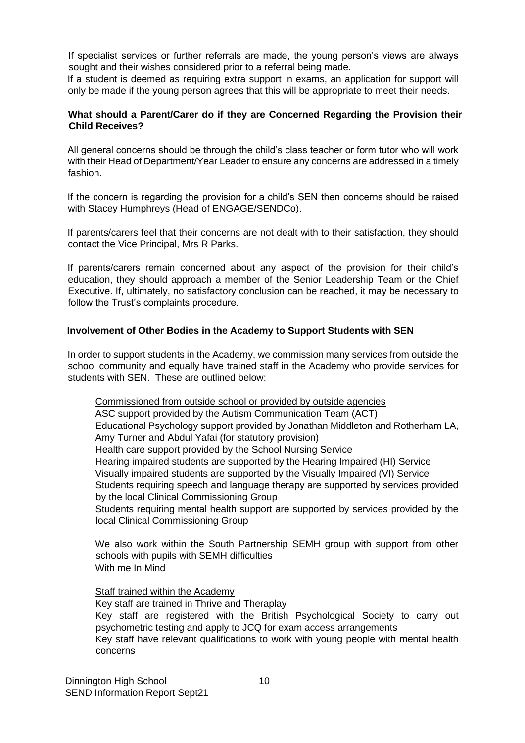If specialist services or further referrals are made, the young person's views are always sought and their wishes considered prior to a referral being made.

If a student is deemed as requiring extra support in exams, an application for support will only be made if the young person agrees that this will be appropriate to meet their needs.

#### **What should a Parent/Carer do if they are Concerned Regarding the Provision their Child Receives?**

All general concerns should be through the child's class teacher or form tutor who will work with their Head of Department/Year Leader to ensure any concerns are addressed in a timely fashion.

If the concern is regarding the provision for a child's SEN then concerns should be raised with Stacey Humphreys (Head of ENGAGE/SENDCo).

If parents/carers feel that their concerns are not dealt with to their satisfaction, they should contact the Vice Principal, Mrs R Parks.

If parents/carers remain concerned about any aspect of the provision for their child's education, they should approach a member of the Senior Leadership Team or the Chief Executive. If, ultimately, no satisfactory conclusion can be reached, it may be necessary to follow the Trust's complaints procedure.

#### **Involvement of Other Bodies in the Academy to Support Students with SEN**

In order to support students in the Academy, we commission many services from outside the school community and equally have trained staff in the Academy who provide services for students with SEN. These are outlined below:

Commissioned from outside school or provided by outside agencies ASC support provided by the Autism Communication Team (ACT) Educational Psychology support provided by Jonathan Middleton and Rotherham LA, Amy Turner and Abdul Yafai (for statutory provision) Health care support provided by the School Nursing Service Hearing impaired students are supported by the Hearing Impaired (HI) Service Visually impaired students are supported by the Visually Impaired (VI) Service Students requiring speech and language therapy are supported by services provided by the local Clinical Commissioning Group Students requiring mental health support are supported by services provided by the local Clinical Commissioning Group

We also work within the South Partnership SEMH group with support from other schools with pupils with SEMH difficulties With me In Mind

Staff trained within the Academy

Key staff are trained in Thrive and Theraplay Key staff are registered with the British Psychological Society to carry out psychometric testing and apply to JCQ for exam access arrangements Key staff have relevant qualifications to work with young people with mental health concerns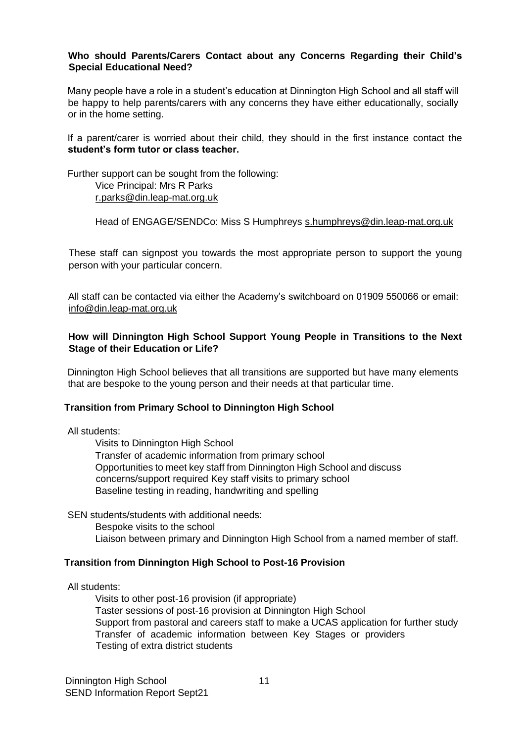#### **Who should Parents/Carers Contact about any Concerns Regarding their Child's Special Educational Need?**

Many people have a role in a student's education at Dinnington High School and all staff will be happy to help parents/carers with any concerns they have either educationally, socially or in the home setting.

If a parent/carer is worried about their child, they should in the first instance contact the **student's form tutor or class teacher.**

Further support can be sought from the following: Vice Principal: Mrs R Parks r.parks@din.leap-mat.org.uk

Head of ENGAGE/SENDCo: Miss S Humphreys s.humphreys@din.leap-mat.org.uk

These staff can signpost you towards the most appropriate person to support the young person with your particular concern.

All staff can be contacted via either the Academy's switchboard on 01909 550066 or email: info@din.leap-mat.org.uk

#### **How will Dinnington High School Support Young People in Transitions to the Next Stage of their Education or Life?**

Dinnington High School believes that all transitions are supported but have many elements that are bespoke to the young person and their needs at that particular time.

#### **Transition from Primary School to Dinnington High School**

All students:

Visits to Dinnington High School Transfer of academic information from primary school Opportunities to meet key staff from Dinnington High School and discuss concerns/support required Key staff visits to primary school Baseline testing in reading, handwriting and spelling

SEN students/students with additional needs: Bespoke visits to the school Liaison between primary and Dinnington High School from a named member of staff.

#### **Transition from Dinnington High School to Post-16 Provision**

All students:

Visits to other post-16 provision (if appropriate) Taster sessions of post-16 provision at Dinnington High School Support from pastoral and careers staff to make a UCAS application for further study Transfer of academic information between Key Stages or providers Testing of extra district students